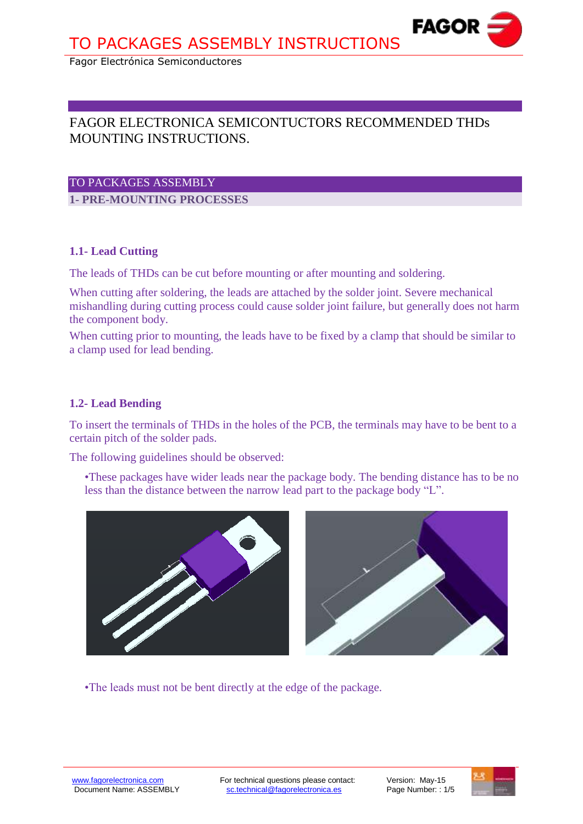# FAGOR ELECTRONICA SEMICONTUCTORS RECOMMENDED THDs MOUNTING INSTRUCTIONS.

## TO PACKAGES ASSEMBLY

**1- PRE-MOUNTING PROCESSES** 

# **1.1- Lead Cutting**

The leads of THDs can be cut before mounting or after mounting and soldering.

When cutting after soldering, the leads are attached by the solder joint. Severe mechanical mishandling during cutting process could cause solder joint failure, but generally does not harm the component body.

When cutting prior to mounting, the leads have to be fixed by a clamp that should be similar to a clamp used for lead bending.

# **1.2- Lead Bending**

To insert the terminals of THDs in the holes of the PCB, the terminals may have to be bent to a certain pitch of the solder pads.

The following guidelines should be observed:

•These packages have wider leads near the package body. The bending distance has to be no less than the distance between the narrow lead part to the package body "L".



•The leads must not be bent directly at the edge of the package.



**Fagor Electrónica, S. Coop.**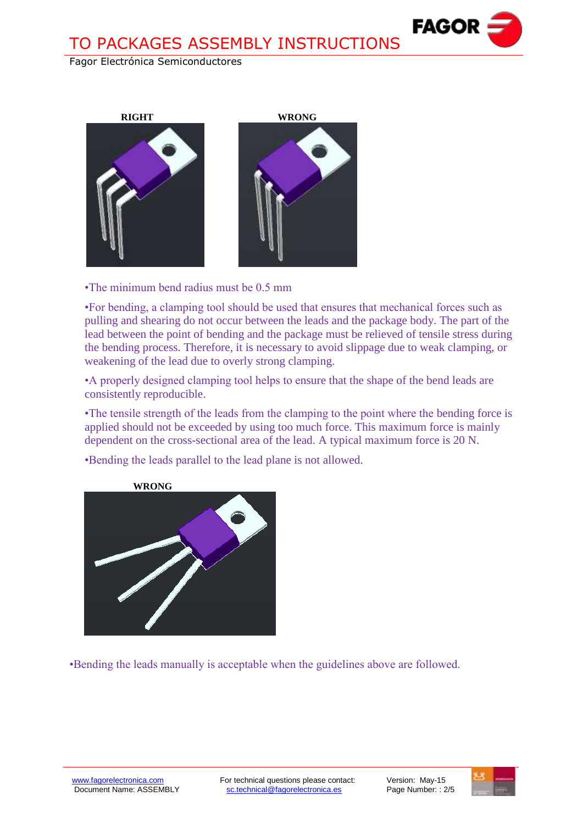



•The minimum bend radius must be 0.5 mm

•For bending, a clamping tool should be used that ensures that mechanical forces such as pulling and shearing do not occur between the leads and the package body. The part of the lead between the point of bending and the package must be relieved of tensile stress during the bending process. Therefore, it is necessary to avoid slippage due to weak clamping, or weakening of the lead due to overly strong clamping.

•A properly designed clamping tool helps to ensure that the shape of the bend leads are consistently reproducible.

•The tensile strength of the leads from the clamping to the point where the bending force is applied should not be exceeded by using too much force. This maximum force is mainly dependent on the cross-sectional area of the lead. A typical maximum force is 20 N.

•Bending the leads parallel to the lead plane is not allowed.



•Bending the leads manually is acceptable when the guidelines above are followed.



**Fagor Electrónica, S. Coop.**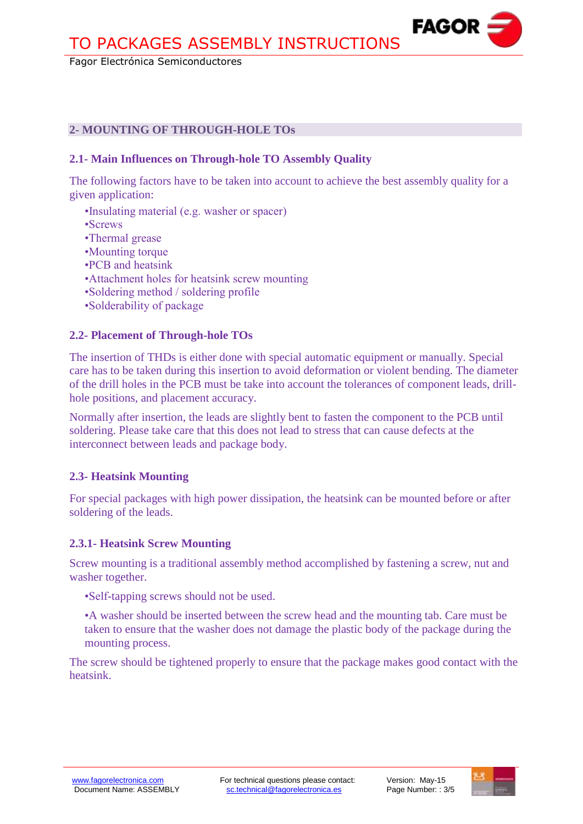## **2- MOUNTING OF THROUGH-HOLE TOs**

#### **2.1- Main Influences on Through-hole TO Assembly Quality**

The following factors have to be taken into account to achieve the best assembly quality for a given application:

- •Insulating material (e.g. washer or spacer)
- •Screws
- •Thermal grease
- •Mounting torque
- •PCB and heatsink
- •Attachment holes for heatsink screw mounting
- •Soldering method / soldering profile
- •Solderability of package

#### **2.2- Placement of Through-hole TOs**

The insertion of THDs is either done with special automatic equipment or manually. Special care has to be taken during this insertion to avoid deformation or violent bending. The diameter of the drill holes in the PCB must be take into account the tolerances of component leads, drillhole positions, and placement accuracy.

Normally after insertion, the leads are slightly bent to fasten the component to the PCB until soldering. Please take care that this does not lead to stress that can cause defects at the interconnect between leads and package body.

#### **2.3- Heatsink Mounting**

For special packages with high power dissipation, the heatsink can be mounted before or after soldering of the leads.

#### **2.3.1- Heatsink Screw Mounting**

Screw mounting is a traditional assembly method accomplished by fastening a screw, nut and washer together.

- •Self-tapping screws should not be used.
- •A washer should be inserted between the screw head and the mounting tab. Care must be taken to ensure that the washer does not damage the plastic body of the package during the mounting process.

The screw should be tightened properly to ensure that the package makes good contact with the heatsink.



**Fagor Electrónica, S. Coop.**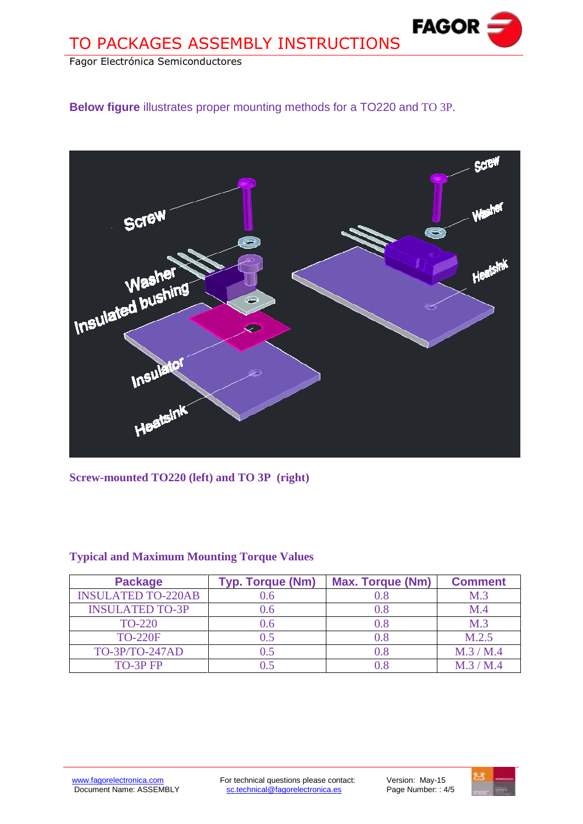**Below figure** illustrates proper mounting methods for a TO220 and TO 3P.



**Screw-mounted TO220 (left) and TO 3P (right)**

| <b>Package</b>            | <b>Typ. Torque (Nm)</b> | <b>Max. Torque (Nm)</b> | <b>Comment</b> |
|---------------------------|-------------------------|-------------------------|----------------|
| <b>INSULATED TO-220AB</b> |                         |                         | M.3            |
| <b>INSULATED TO-3P</b>    | 0.6                     | 0.8                     | M.4            |
| <b>TO-220</b>             | 0.6 <sub>1</sub>        | 0.8                     | M.3            |
| <b>TO-220F</b>            | 0.5                     | $0.8\,$                 | M.2.5          |
| TO-3P/TO-247AD            | 0.5                     | $0.8\,$                 | M.3/M.4        |
| TO-3P FP                  |                         |                         | M.3/M.4        |

# **Typical and Maximum Mounting Torque Values**



**Fagor Electrónica, S. Coop.**